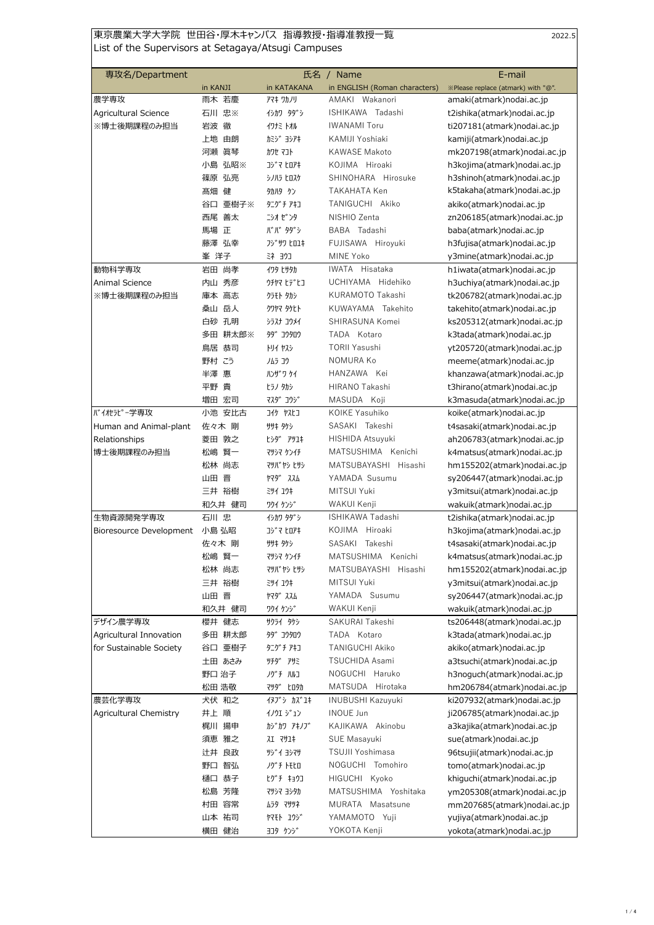## |東京農業大学大学院 世田谷・厚木キャンパス 指導教授・指導准教授一覧 | インスコンコンコンコンコン222.5 List of the Supervisors at Setagaya/Atsugi Campuses

| 専攻名/Department          |            | 氏名                | <b>Name</b>                   | E-mail                             |
|-------------------------|------------|-------------------|-------------------------------|------------------------------------|
|                         | in KANJI   | in KATAKANA       | in ENGLISH (Roman characters) | ※Please replace (atmark) with "@". |
| 農学専攻                    | 雨木 若慶      | アマキ ワカノリ          | AMAKI Wakanori                | amaki(atmark)nodai.ac.jp           |
| Agricultural Science    | 石川 忠※      | イシカワ タダシ          | ISHIKAWA Tadashi              | t2ishika(atmark)nodai.ac.jp        |
| ※博士後期課程のみ担当             | 岩波 徹       | イワナミ トオル          | <b>IWANAMI Toru</b>           | ti207181(atmark)nodai.ac.jp        |
|                         | 上地<br>由朗   | カミシ゛ヨシアキ          | KAMIJI Yoshiaki               | kamiji(atmark) nodai.ac.jp         |
|                         | 河瀬<br>眞琴   | カワセ マコト           | <b>KAWASE Makoto</b>          | mk207198(atmark)nodai.ac.jp        |
|                         | 小島 弘昭※     | コシ゛マ ヒロアキ         | KOJIMA Hiroaki                | h3kojima(atmark)nodai.ac.jp        |
|                         | 篠原 弘亮      | シノハラ ヒロスケ         | SHINOHARA Hirosuke            | h3shinoh(atmark)nodai.ac.jp        |
|                         | 髙畑<br>健    | 9カハタ ケン           | TAKAHATA Ken                  | k5takaha(atmark)nodai.ac.jp        |
|                         | 亜樹子※<br>谷口 | タニグチアキコ           | TANIGUCHI Akiko               | akiko(atmark)nodai.ac.jp           |
|                         | 西尾 善太      | ニシオ ゼ゛ンタ          | NISHIO Zenta                  | zn206185(atmark)nodai.ac.jp        |
|                         | 馬場 正       | ババ タダシ            | BABA Tadashi                  | baba(atmark)nodai.ac.jp            |
|                         | 藤澤 弘幸      | <b>Jジザリ ヒロユキ</b>  | FUJISAWA Hiroyuki             | h3fujisa(atmark)nodai.ac.jp        |
|                         | 峯 洋子       | ミネヨウコ             | MINE Yoko                     | y3mine(atmark)nodai.ac.jp          |
| 動物科学専攻                  | 尚孝<br>岩田   | イワタ ヒサタカ          | IWATA Hisataka                | h1iwata(atmark)nodai.ac.jp         |
| Animal Science          | 内山 秀彦      | ウチヤマ ヒデヒコ         | UCHIYAMA Hidehiko             | h3uchiya(atmark)nodai.ac.jp        |
| ※博士後期課程のみ担当             | 庫本 高志      | クラモト タカシ          | KURAMOTO Takashi              | tk206782(atmark)nodai.ac.jp        |
|                         | 桑山 岳人      | クワヤマ タケヒト         | KUWAYAMA Takehito             | takehito(atmark)nodai.ac.jp        |
|                         | 白砂 孔明      | シラスナ コウメイ         | SHIRASUNA Komei               | ks205312(atmark)nodai.ac.jp        |
|                         | 多田 耕太郎※    | <b>99° コウタロウ</b>  | TADA Kotaro                   | k3tada(atmark)nodai.ac.jp          |
|                         | 鳥居<br>恭司   | トリイ ヤスシ           | <b>TORII Yasushi</b>          | yt205720(atmark)nodai.ac.jp        |
|                         | 野村こう       | ノムラ コウ            | NOMURA Ko                     | meeme(atmark)nodai.ac.jp           |
|                         | 半澤<br>惠    | ハソザリケイ            | HANZAWA Kei                   | khanzawa(atmark)nodai.ac.jp        |
|                         | 平野<br>貴    | ヒラノ タカシ           | HIRANO Takashi                | t3hirano(atmark)nodai.ac.jp        |
|                         | 増田 宏司      | マスダ コウジ           | MASUDA Koji                   | k3masuda(atmark)nodai.ac.jp        |
| バイオセラピー学専攻              | 小池<br>安比古  | コイケ ヤスヒコ          | KOIKE Yasuhiko                | koike(atmark) nodai.ac.jp          |
| Human and Animal-plant  | 佐々木 剛      | ササキ タケシ           | SASAKI Takeshi                | t4sasaki(atmark)nodai.ac.jp        |
| Relationships           | 菱田 敦之      |                   | HISHIDA Atsuyuki              | ah206783(atmark)nodai.ac.jp        |
| 博士後期課程のみ担当              | 賢一<br>松嶋   | マツシマ ケンイチ         | MATSUSHIMA Kenichi            | k4matsus(atmark)nodai.ac.jp        |
|                         | 松林<br>尚志   | マツバ ヤシ ヒサシ        | MATSUBAYASHI Hisashi          | hm155202(atmark)nodai.ac.jp        |
|                         | 山田<br>晋    | <b>ኮマタ゛ ススム</b>   | YAMADA Susumu                 | sy206447(atmark)nodai.ac.jp        |
|                         | 三井 裕樹      | 391 19‡           | MITSUI Yuki                   | y3mitsui(atmark)nodai.ac.jp        |
|                         | 和久井 健司     | ワクイ ケンシ゛          | WAKUI Kenii                   | wakuik(atmark)nodai.ac.jp          |
| 生物資源開発学専攻               | 石川忠        | イシカワ タダシ          | ISHIKAWA Tadashi              | t2ishika(atmark)nodai.ac.jp        |
| Bioresource Development | 小島 弘昭      | コシ゛マ ヒロアキ         | KOJIMA Hiroaki                | h3kojima(atmark)nodai.ac.jp        |
|                         | 佐々木 剛      | <b>ササキ タケシ</b>    | SASAKI Takeshi                | t4sasaki(atmark)nodai.ac.jp        |
|                         | 松嶋 賢一      | マツシマ ケンイチ         | MATSUSHIMA Kenichi            | k4matsus(atmark)nodai.ac.jp        |
|                         | 松林 尚志      | マツバ ヤシ ヒサシ        | MATSUBAYASHI Hisashi          | hm155202(atmark)nodai.ac.jp        |
|                         | 三井 裕樹      | 394 19#           | MITSUI Yuki                   | y3mitsui(atmark)nodai.ac.jp        |
|                         | 山田 晋       | ኮマダ゛ススム           | YAMADA Susumu                 | sy206447(atmark)nodai.ac.jp        |
|                         | 和久井 健司     | ワクイ ケンジ           | WAKUI Kenji                   | wakuik(atmark)nodai.ac.jp          |
| デザイン農学専攻                | 櫻井<br>健志   | サクライ タケシ          | SAKURAI Takeshi               | ts206448(atmark)nodai.ac.jp        |
| Agricultural Innovation | 多田 耕太郎     | タダ コウタロウ          | TADA Kotaro                   | k3tada(atmark)nodai.ac.jp          |
| for Sustainable Society | 谷口 亜樹子     | タニグ チ アキコ         | TANIGUCHI Akiko               | akiko(atmark)nodai.ac.jp           |
|                         | 土田 あさみ     | 9チダ アサミ           | TSUCHIDA Asami                | a3tsuchi(atmark)nodai.ac.jp        |
|                         | 野口 治子      | ノグチ ハルコ           | NOGUCHI Haruko                | h3noguch(atmark)nodai.ac.jp        |
|                         | 松田 浩敬      | マツダ ヒロタカ          | MATSUDA Hirotaka              | hm206784(atmark)nodai.ac.jp        |
| 農芸化学専攻                  | 犬伏 和之      | イヌブ ゙ カズユキ        | <b>INUBUSHI Kazuyuki</b>      | ki207932(atmark)nodai.ac.jp        |
| Agricultural Chemistry  | 井上 順       | イノウエ ジュン          | <b>INOUE Jun</b>              | ji206785(atmark)nodai.ac.jp        |
|                         | 梶川 揚申      | カジカワ アキノブ         | KAJIKAWA Akinobu              | a3kajika(atmark)nodai.ac.jp        |
|                         | 須恵 雅之      | <b>71 4714</b>    | SUE Masayuki                  | sue(atmark)nodai.ac.jp             |
|                         | 辻井 良政      | ツジイ ヨシマサ          | TSUJII Yoshimasa              | 96tsujii(atmark)nodai.ac.jp        |
|                         | 野口 智弘      | ノグチ トモヒロ          | NOGUCHI Tomohiro              | tomo(atmark)nodai.ac.jp            |
|                         | 樋口 恭子      | ヒグチ キョウコ          | HIGUCHI Kyoko                 | khiguchi(atmark)nodai.ac.jp        |
|                         | 松島 芳隆      | マツシマ ヨシタカ         | MATSUSHIMA Yoshitaka          | ym205308(atmark)nodai.ac.jp        |
|                         | 村田 容常      | ムラタ マサツネ          | MURATA Masatsune              | mm207685(atmark)nodai.ac.jp        |
|                         | 山本 祐司      | <b>ヤマモト ユウシ</b> ゛ | YAMAMOTO Yuji                 | yujiya(atmark)nodai.ac.jp          |
|                         | 横田 健治      | ヨコタ ケンジ           | YOKOTA Kenji                  | yokota(atmark)nodai.ac.jp          |
|                         |            |                   |                               |                                    |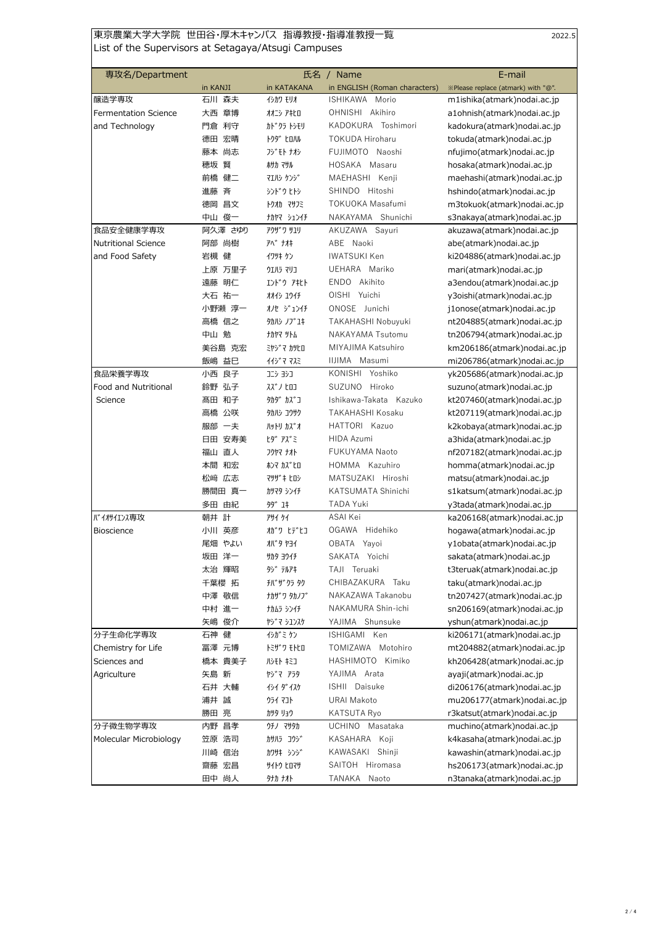## 東京農業大学大学院 世田谷・厚木キャンパス 指導教授・指導准教授一覧 2022.5 List of the Supervisors at Setagaya/Atsugi Campuses

| 専攻名/Department              |          | 氏名<br>/ Name     |                               | E-mail                             |
|-----------------------------|----------|------------------|-------------------------------|------------------------------------|
|                             | in KANJI | in KATAKANA      | in ENGLISH (Roman characters) | ※Please replace (atmark) with "@". |
| 醸造学専攻                       | 石川 森夫    | イシカワ モリオ         | ISHIKAWA<br>Morio             | m1ishika(atmark)nodai.ac.jp        |
| <b>Fermentation Science</b> | 章博<br>大西 | オオニシ アキヒロ        | OHNISHI Akihiro               | a1ohnish(atmark)nodai.ac.jp        |
| and Technology              | 門倉 利守    | カドクラ トシモリ        | KADOKURA Toshimori            | kadokura(atmark) nodai.ac.jp       |
|                             | 宏晴<br>德田 | <b>トクタ゛ ヒロハル</b> | TOKUDA Hiroharu               | tokuda(atmark)nodai.ac.jp          |
|                             | 藤本 尚志    | フジモト ナオシ         | FUJIMOTO Naoshi               | nfujimo(atmark)nodai.ac.jp         |
|                             | 賢<br>穂坂  | ホサカ マサル          | HOSAKA Masaru                 | hosaka(atmark)nodai.ac.jp          |
|                             | 前橋<br>健二 | マエルシ ケンシ゛        | MAEHASHI Kenji                | maehashi(atmark)nodai.ac.jp        |
|                             | 斉<br>進藤  | シンドウヒトシ          | SHINDO Hitoshi                | hshindo(atmark)nodai.ac.jp         |
|                             | 昌文<br>徳岡 | トクオカ マサフミ        | TOKUOKA Masafumi              | m3tokuok(atmark)nodai.ac.jp        |
|                             | 中山 俊一    | カヤマ シュンイチ        | NAKAYAMA Shunichi             | s3nakaya(atmark)nodai.ac.jp        |
| 食品安全健康学専攻                   | 阿久澤 さゆり  | <b>アクサ゛ワ サユリ</b> | AKUZAWA Sayuri                | akuzawa(atmark)nodai.ac.jp         |
| <b>Nutritional Science</b>  | 阿部 尚樹    | アベ ナオキ           | ABE Naoki                     | abe(atmark)nodai.ac.jp             |
| and Food Safety             | 岩槻 健     | イワツキ ケン          | <b>IWATSUKI Ken</b>           | ki204886(atmark)nodai.ac.jp        |
|                             | 上原 万里子   | ウエハラ マリコ         | UEHARA Mariko                 | mari(atmark)nodai.ac.jp            |
|                             | 遠藤 明仁    | エンドウ アキヒト        | ENDO Akihito                  | a3endou(atmark)nodai.ac.jp         |
|                             | 大石 祐一    | オオイシ ユウイチ        | OISHI Yuichi                  | y3oishi(atmark)nodai.ac.jp         |
|                             | 小野瀬 淳一   | オノセ ジュンイチ        | ONOSE Junichi                 | j1onose(atmark)nodai.ac.jp         |
|                             | 高橋 信之    | クカハシ ノブユキ        | TAKAHASHI Nobuyuki            | nt204885(atmark)nodai.ac.jp        |
|                             | 中山 勉     | ナカヤマ ツトム         | NAKAYAMA Tsutomu              | tn206794(atmark)nodai.ac.jp        |
|                             | 美谷島 克宏   | ミヤシ マ カツヒロ       | MIYAJIMA Katsuhiro            | km206186(atmark)nodai.ac.jp        |
|                             | 益巳<br>飯嶋 | イイジ゛マ マスミ        | IIJIMA Masumi                 | mi206786(atmark)nodai.ac.jp        |
| 食品栄養学専攻                     | 良子<br>小西 | コニシ ヨシコ          | KONISHI Yoshiko               | yk205686(atmark)nodai.ac.jp        |
| Food and Nutritional        | 鈴野 弘子    | スズ・ノ ヒロコ         | SUZUNO Hiroko                 | suzuno(atmark)nodai.ac.jp          |
| Science                     | 髙田 和子    | タカダ カズコ          | Ishikawa-Takata Kazuko        | kt207460(atmark)nodai.ac.jp        |
|                             | 高橋<br>公咲 | タカハシ コウサク        | TAKAHASHI Kosaku              | kt207119(atmark) nodai.ac.jp       |
|                             | 服部 一夫    | ハットリ カス゛オ        | HATTORI Kazuo                 | k2kobaya(atmark)nodai.ac.jp        |
|                             | 日田 安寿美   | ヒダ アズミ           | HIDA Azumi                    | a3hida(atmark)nodai.ac.jp          |
|                             | 福山 直人    | フクヤマ ナオト         | FUKUYAMA Naoto                | nf207182(atmark)nodai.ac.jp        |
|                             | 本間 和宏    | ホンマ カズヒロ         | HOMMA Kazuhiro                | homma(atmark)nodai.ac.jp           |
|                             | 松﨑 広志    | マツサ゛キ ヒロシ        | MATSUZAKI Hiroshi             | matsu(atmark)nodai.ac.jp           |
|                             | 勝間田 真一   | カツマタ シンイチ        | KATSUMATA Shinichi            | s1katsum(atmark)nodai.ac.jp        |
|                             | 由紀<br>多田 | 99 1#            | <b>TADA Yuki</b>              | y3tada(atmark)nodai.ac.jp          |
| バイオイエンス専攻                   | 計<br>朝井  | <b>741 71</b>    | ASAI Kei                      | ka206168(atmark) nodai.ac.jp       |
| <b>Bioscience</b>           | 英彦<br>小川 | オガワ ヒデヒコ         | OGAWA Hidehiko                | hogawa(atmark)nodai.ac.jp          |
|                             | 尾畑 やよい   | オバ゛タ ヤヨイ         | OBATA Yayoi                   | y1obata(atmark)nodai.ac.jp         |
|                             | 坂田 洋一    | <b>サカタ ヨウイチ</b>  | SAKATA Yoichi                 | sakata(atmark)nodai.ac.jp          |
|                             | 太治 輝昭    | タジ テルアキ          | TAJI Teruaki                  | t3teruak(atmark)nodai.ac.jp        |
|                             | 千葉櫻 拓    | チバザクラ タク         | CHIBAZAKURA Taku              | taku(atmark)nodai.ac.jp            |
|                             | 中澤 敬信    | ナカザワ タカノブ        | NAKAZAWA Takanobu             | tn207427(atmark)nodai.ac.jp        |
|                             | 中村 進一    | ナカムラ シンイチ        | NAKAMURA Shin-ichi            | sn206169(atmark)nodai.ac.jp        |
|                             | 矢嶋<br>俊介 | ヤジマ シユンスケ        | YAJIMA Shunsuke               | yshun(atmark)nodai.ac.jp           |
| 分子生命化学専攻                    | 石神<br>健  | イシガミ ケン          | ISHIGAMI Ken                  | ki206171(atmark)nodai.ac.jp        |
| Chemistry for Life          | 冨澤 元博    | トミザ ワ モトヒロ       | TOMIZAWA Motohiro             | mt204882(atmark)nodai.ac.jp        |
| Sciences and                | 橋本 貴美子   | ルシモト キミコ         | HASHIMOTO Kimiko              | kh206428(atmark)nodai.ac.jp        |
| Agriculture                 | 矢島 新     | ヤジマ アラタ          | YAJIMA Arata                  | ayaji(atmark)nodai.ac.jp           |
|                             | 石井 大輔    | かイダイスケ           | ISHII Daisuke                 | di206176(atmark)nodai.ac.jp        |
|                             | 浦井 誠     | ウライ マコト          | <b>URAI Makoto</b>            | mu206177(atmark)nodai.ac.jp        |
|                             | 勝田<br>亮  | カツタ リョウ          | KATSUTA Ryo                   | r3katsut(atmark)nodai.ac.jp        |
| 分子微生物学専攻                    | 内野 昌孝    | ウチノ マサタカ         | UCHINO Masataka               | muchino(atmark)nodai.ac.jp         |
| Molecular Microbiology      | 笠原 浩司    | カサハラ コウシ゛        | KASAHARA Koji                 | k4kasaha(atmark)nodai.ac.jp        |
|                             | 川崎 信治    | カワサキ シンジ         | KAWASAKI Shinji               | kawashin(atmark)nodai.ac.jp        |
|                             | 齋藤 宏昌    | サイトウ ヒロマサ        | SAITOH Hiromasa               | hs206173(atmark)nodai.ac.jp        |
|                             | 田中 尚人    | タナカ ナオト          | TANAKA<br>Naoto               | n3tanaka(atmark)nodai.ac.jp        |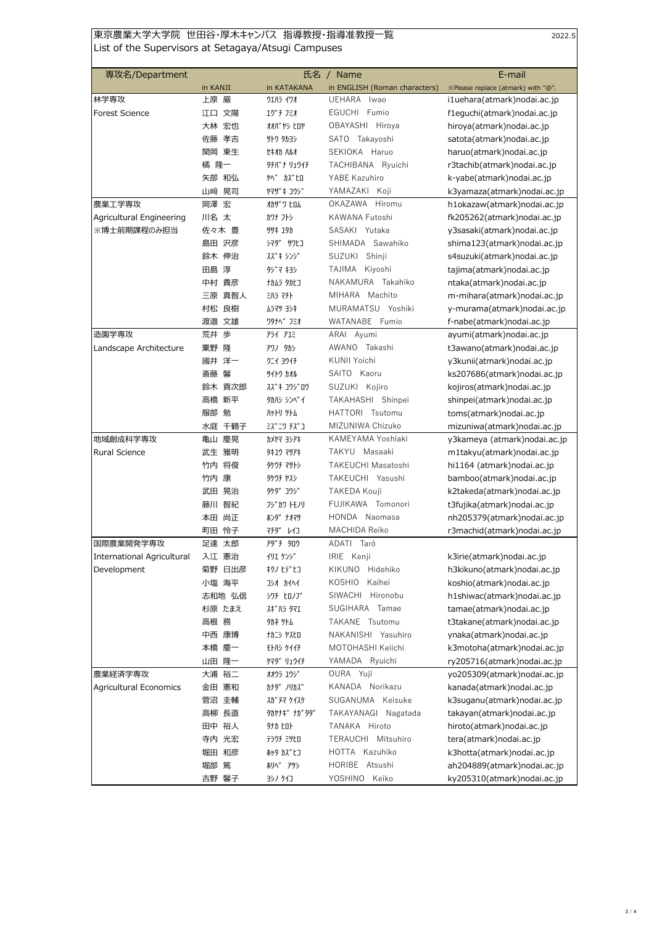## 東京農業大学大学院 世田谷・厚木キャンパス 指導教授・指導准教授一覧 2022.5 List of the Supervisors at Setagaya/Atsugi Campuses

| 専攻名/Department             |           | 氏名               | Name                          | E-mail                             |
|----------------------------|-----------|------------------|-------------------------------|------------------------------------|
|                            | in KANJI  | in KATAKANA      | in ENGLISH (Roman characters) | ※Please replace (atmark) with "@". |
| 林学専攻                       | 上原 巌      | ウエハラ イワオ         | UEHARA<br>Iwao                | i1uehara(atmark) nodai.ac.jp       |
| <b>Forest Science</b>      | 江口 文陽     | エグチ フミオ          | EGUCHI Fumio                  | f1eguchi(atmark)nodai.ac.jp        |
|                            | 大林 宏也     | オオバ゛ヤシ ヒロヤ       | OBAYASHI Hiroya               | hiroya(atmark)nodai.ac.jp          |
|                            | 孝吉<br>佐藤  | サトウ タカヨシ         | SATO Takayoshi                | satota(atmark)nodai.ac.jp          |
|                            | 関岡 東生     | セキオカ ハルオ         | SEKIOKA Haruo                 | haruo(atmark)nodai.ac.jp           |
|                            | 橘 隆一      | <b>97バナリュウイチ</b> | TACHIBANA Ryuichi             | r3tachib(atmark)nodai.ac.jp        |
|                            | 矢部 和弘     | <b>ヤベ カズヒロ</b>   | YABE Kazuhiro                 | k-yabe(atmark)nodai.ac.jp          |
|                            | 晃司<br>山﨑  | 174" + 175"      | YAMAZAKI<br>Koji              | k3yamaza(atmark)nodai.ac.jp        |
| 農業工学専攻                     | 岡澤<br>宏   | オカザ ワ ヒロム        | OKAZAWA<br>Hiromu             | h1okazaw(atmark)nodai.ac.jp        |
| Agricultural Engineering   | 川名 太      | カワナ フトシ          | KAWANA Futoshi                | fk205262(atmark)nodai.ac.jp        |
| ※博士前期課程のみ担当                | 佐々木 豊     | ササキ ユタカ          | SASAKI Yutaka                 | y3sasaki(atmark)nodai.ac.jp        |
|                            | 島田 沢彦     | シマダ サワヒコ         | SHIMADA Sawahiko              | shima123(atmark)nodai.ac.jp        |
|                            | 鈴木 伸治     | スズ*キ シンジ         | SUZUKI Shinji                 | s4suzuki(atmark)nodai.ac.jp        |
|                            | 田島 淳      | タジ マ キヨシ         | TAJIMA Kiyoshi                | tajima(atmark)nodai.ac.jp          |
|                            | 中村 貴彦     | ナカムラ タカヒコ        | NAKAMURA Takahiko             | ntaka(atmark)nodai.ac.jp           |
|                            | 三原 真智人    | 三儿ラ マチト          | MIHARA Machito                | m-mihara(atmark)nodai.ac.jp        |
|                            | 村松 良樹     | ムラマツ ヨシキ         | MURAMATSU Yoshiki             | y-murama(atmark)nodai.ac.jp        |
|                            | 渡邉 文雄     | ワタナヘ゛ フミオ        | WATANABE Fumio                | f-nabe(atmark)nodai.ac.jp          |
| 造園学専攻                      | 荒井 歩      | <b>P5イ アユミ</b>   | ARAI Ayumi                    | ayumi(atmark)nodai.ac.jp           |
| Landscape Architecture     | 隆<br>粟野   | アワノ タカシ          | AWANO Takashi                 | t3awano(atmark)nodai.ac.jp         |
|                            | 國井 洋一     | クニイ ヨウイチ         | <b>KUNII Yoichi</b>           | y3kunii(atmark)nodai.ac.jp         |
|                            | 斎藤 馨      | サイトウ カオル         | SAITO Kaoru                   | ks207686(atmark)nodai.ac.jp        |
|                            | 鈴木 貢次郎    | スズキ コウジロウ        | SUZUKI Kojiro                 | kojiros(atmark)nodai.ac.jp         |
|                            | 高橋 新平     | タカルシ シンヘ°イ       | TAKAHASHI Shinpei             | shinpei(atmark)nodai.ac.jp         |
|                            | 勉<br>服部   | <b>JANAI AIR</b> | HATTORI Tsutomu               | toms(atmark)nodai.ac.jp            |
|                            | 千鶴子<br>水庭 | ミス゛ニワ チス゛コ       | MIZUNIWA Chizuko              | mizuniwa(atmark)nodai.ac.jp        |
| 地域創成科学専攻                   | 慶晃<br>亀山  | カメヤマ ヨシアキ        | KAMEYAMA Yoshiaki             | y3kameya (atmark)nodai.ac.jp       |
| <b>Rural Science</b>       | 武生 雅明     | 9‡1ウ マサアキ        | TAKYU Masaaki                 | m1takyu(atmark)nodai.ac.jp         |
|                            | 将俊<br>竹内  | タケウチ マサトシ        | TAKEUCHI Masatoshi            | hi1164 (atmark) nodai.ac.jp        |
|                            | 竹内 康      | タケウチ ヤスシ         | TAKEUCHI Yasushi              | bamboo(atmark)nodai.ac.jp          |
|                            | 武田 晃治     | <b>タケダ コウジ</b>   | TAKEDA Kouji                  | k2takeda(atmark)nodai.ac.jp        |
|                            | 智紀<br>藤川  | フジカワ トモノリ        | FUJIKAWA Tomonori             | t3fujika(atmark)nodai.ac.jp        |
|                            | 尚正<br>本田  | ホンタ゛ ナオマサ        | HONDA Naomasa                 | nh205379(atmark)nodai.ac.jp        |
|                            | 怜子<br>町田  | マチタ゛<br>レイコ      | MACHIDA Reiko                 | r3machid(atmark)nodai.ac.jp        |
| 国際農業開発学専攻                  | 足達 太郎     | アダチ タロウ          | ADATI<br>Tarô                 |                                    |
| International Agricultural | 入江 憲治     | イリエ ケンジ          | IRIE Kenji                    | k3irie(atmark)nodai.ac.jp          |
| Development                | 菊野 日出彦    | キクノ ヒデヒコ         | KIKUNO Hidehiko               | h3kikuno(atmark)nodai.ac.jp        |
|                            | 小塩 海平     | コシオカイヘイ          | Kaihei<br>KOSHIO              | koshio(atmark)nodai.ac.jp          |
|                            | 志和地 弘信    | シワチ ヒロノブ         | SIWACHI Hironobu              | h1shiwac(atmark)nodai.ac.jp        |
|                            | 杉原 たまえ    | スギハラ タマエ         | SUGIHARA Tamae                | tamae(atmark)nodai.ac.jp           |
|                            | 高根 務      | 9カネ ツトム          | TAKANE Tsutomu                | t3takane(atmark)nodai.ac.jp        |
|                            | 中西 康博     | ナカニシ ヤスヒロ        | NAKANISHI Yasuhiro            | ynaka(atmark)nodai.ac.jp           |
|                            | 本橋 慶一     | モトルシ ケイイチ        | MOTOHASHI Keiichi             | k3motoha(atmark)nodai.ac.jp        |
|                            | 山田 隆一     | <b>ヤマタ゛リュウイチ</b> | YAMADA Ryuichi                | ry205716(atmark)nodai.ac.jp        |
| 農業経済学専攻                    | 大浦 裕二     | オオウラ ユウシ゛        | OURA Yuji                     | yo205309(atmark)nodai.ac.jp        |
| Agricultural Economics     | 金田 憲和     | カナダ ノリカズ         | KANADA Norikazu               | kanada(atmark)nodai.ac.jp          |
|                            | 菅沼 圭輔     | スカ゛ヌマ ケイスケ       | SUGANUMA Keisuke              | k3suganu(atmark) nodai.ac.jp       |
|                            | 高柳 長直     | <b>9カヤナギナガタダ</b> | TAKAYANAGI Nagatada           | takayan(atmark)nodai.ac.jp         |
|                            | 田中 裕人     | 外力 ヒロト           | TANAKA Hiroto                 | hiroto(atmark)nodai.ac.jp          |
|                            | 寺内 光宏     | テラウチ ミツヒロ        | TERAUCHI Mitsuhiro            | tera(atmark)nodai.ac.jp            |
|                            | 堀田 和彦     | ホッタ カス゛ヒコ        | HOTTA Kazuhiko                | k3hotta(atmark)nodai.ac.jp         |
|                            | 堀部<br>篤   | ホリヘ゛ アツシ         | HORIBE Atsushi                | ah204889(atmark)nodai.ac.jp        |
|                            | 吉野 馨子     | ヨシノ ケイコ          | YOSHINO Keiko                 | ky205310(atmark)nodai.ac.jp        |